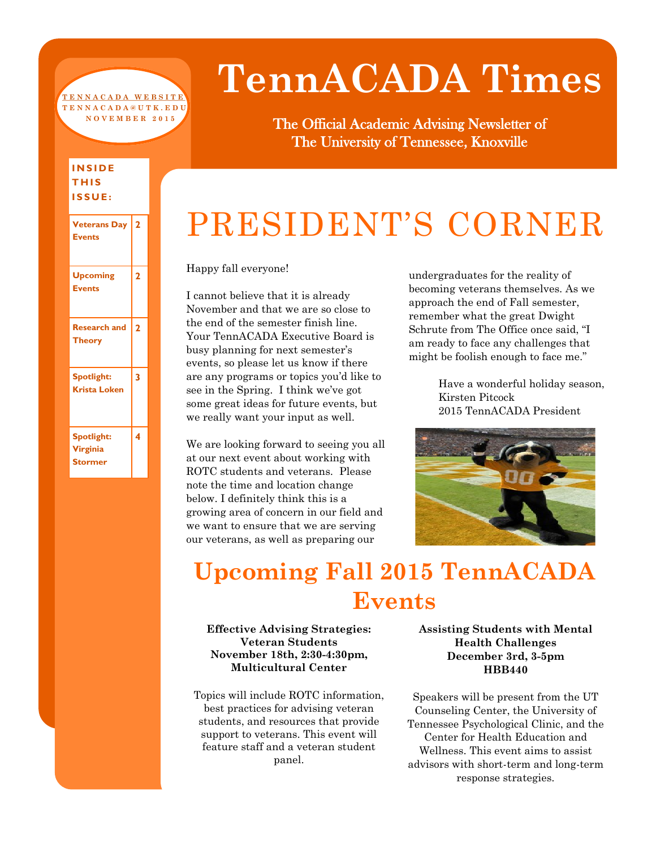#### **[T E N N A C A D A W E B S I T E](http://tennacada.utk.edu/) T E N N A C A D A @ U T K . E D U N O V E M B E R 2 0 1 5**

# **TennACADA Times**

The Official Academic Advising Newsletter of The University of Tennessee, Knoxville

## PRESIDENT'S CORNER

Happy fall everyone!

I cannot believe that it is already November and that we are so close to the end of the semester finish line. Your TennACADA Executive Board is busy planning for next semester's events, so please let us know if there are any programs or topics you'd like to see in the Spring. I think we've got some great ideas for future events, but we really want your input as well.

We are looking forward to seeing you all at our next event about working with ROTC students and veterans. Please note the time and location change below. I definitely think this is a growing area of concern in our field and we want to ensure that we are serving our veterans, as well as preparing our

undergraduates for the reality of becoming veterans themselves. As we approach the end of Fall semester, remember what the great Dwight Schrute from The Office once said, "I am ready to face any challenges that might be foolish enough to face me."

> Have a wonderful holiday season, Kirsten Pitcock 2015 TennACADA President



## **Upcoming Fall 2015 TennACADA Events**

**Effective Advising Strategies: Veteran Students November 18th, 2:30-4:30pm, Multicultural Center**

Topics will include ROTC information, best practices for advising veteran students, and resources that provide support to veterans. This event will feature staff and a veteran student panel.

**Assisting Students with Mental Health Challenges December 3rd, 3-5pm HBB440**

Speakers will be present from the UT Counseling Center, the University of Tennessee Psychological Clinic, and the Center for Health Education and Wellness. This event aims to assist advisors with short-term and long-term response strategies.

#### **I N S I D E T H I S I S S U E :**

| <b>Veterans Day</b><br><b>Events</b>     | 2 |
|------------------------------------------|---|
| <b>Upcoming</b><br><b>Events</b>         | 2 |
| <b>Research and</b><br><b>Theory</b>     | 2 |
| Spotlight:<br><b>Krista Loken</b>        | 3 |
| Spotlight:<br>Virginia<br><b>Stormer</b> | 4 |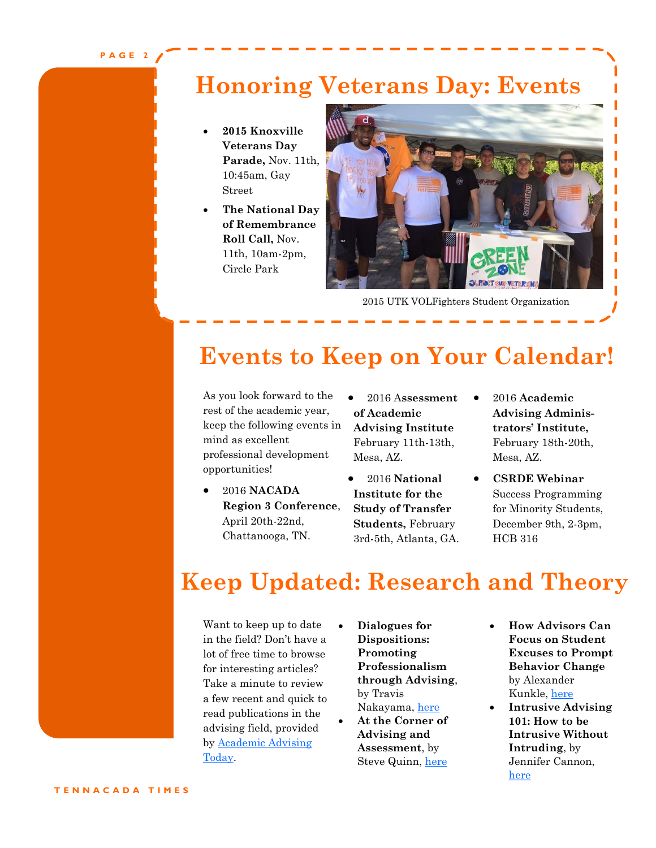### **Honoring Veterans Day: Events**

- **2015 Knoxville Veterans Day Parade,** Nov. 11th, 10:45am, Gay Street
- **The National Day of Remembrance Roll Call,** Nov. 11th, 10am-2pm, Circle Park



2015 UTK VOLFighters Student Organization

### **Events to Keep on Your Calendar!**

As you look forward to the rest of the academic year, keep the following events in mind as excellent professional development opportunities!

- 2016 **NACADA Region 3 Conference**, April 20th-22nd, Chattanooga, TN.
- 2016 A**ssessment of Academic Advising Institute**  February 11th-13th, Mesa, AZ.
- 2016 **National Institute for the Study of Transfer Students,** February 3rd-5th, Atlanta, GA.
- 2016 **Academic Advising Administrators' Institute,**  February 18th-20th, Mesa, AZ.
- **CSRDE Webinar**  Success Programming for Minority Students, December 9th, 2-3pm, HCB 316

### **Keep Updated: Research and Theory**

Want to keep up to date in the field? Don't have a lot of free time to browse for interesting articles? Take a minute to review a few recent and quick to read publications in the advising field, provided by [Academic Advising](http://www.nacada.ksu.edu/Resources/Academic-Advising-Today.aspx)  [Today.](http://www.nacada.ksu.edu/Resources/Academic-Advising-Today.aspx) 

- **Dialogues for Dispositions: Promoting Professionalism through Advising**, by Travis Nakayama, [here](http://www.nacada.ksu.edu/Resources/Academic-Advising-Today/View-Articles/Dialogues-for-Dispositions-Promoting-Professionalism-through-Advising.aspx)
- **At the Corner of Advising and Assessment**, by Steve Quinn, [here](http://www.nacada.ksu.edu/Resources/Academic-Advising-Today/View-Articles/At-the-Corner-of-Advising-and-Assessment.aspx)
- **How Advisors Can Focus on Student Excuses to Prompt Behavior Change**  by Alexander Kunkle, [here](http://www.nacada.ksu.edu/Resources/Academic-Advising-Today/View-Articles/How-Advisors-Can-Focus-on-Student-Excuses-to-Prompt-Behavior-Change.aspx)
- **Intrusive Advising 101: How to be Intrusive Without Intruding**, by Jennifer Cannon, [here](http://www.nacada.ksu.edu/Resources/Academic-Advising-Today/View-Articles/Intrusive-Advising-101-How-to-be-Intrusive-Without-Intruding.aspx)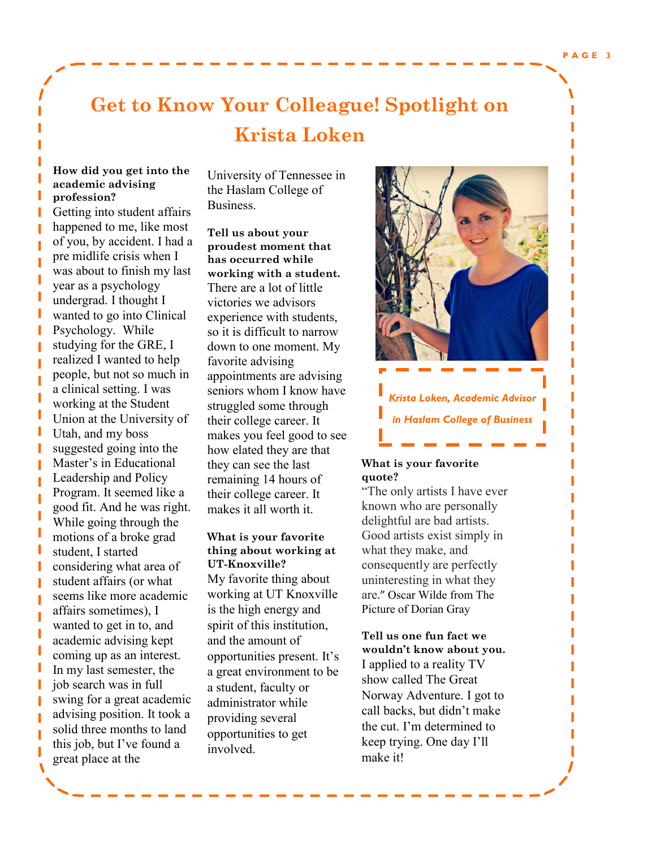П ī

### **Get to Know Your Colleague! Spotlight on Krista Loken**

#### **How did you get into the academic advising profession?**

Getting into student affairs happened to me, like most of you, by accident. I had a pre midlife crisis when I was about to finish my last year as a psychology undergrad. I thought I wanted to go into Clinical Psychology. While studying for the GRE, I realized I wanted to help people, but not so much in a clinical setting. I was working at the Student Union at the University of Utah, and my boss suggested going into the Master's in Educational Leadership and Policy Program. It seemed like a good fit. And he was right. While going through the motions of a broke grad student, I started considering what area of student affairs (or what seems like more academic affairs sometimes), I wanted to get in to, and academic advising kept coming up as an interest. In my last semester, the job search was in full swing for a great academic advising position. It took a solid three months to land this job, but I've found a great place at the

University of Tennessee in the Haslam College of Business.

**Tell us about your proudest moment that has occurred while working with a student.** There are a lot of little victories we advisors experience with students, so it is difficult to narrow down to one moment. My favorite advising appointments are advising seniors whom I know have struggled some through their college career. It makes you feel good to see how elated they are that they can see the last remaining 14 hours of their college career. It makes it all worth it.

**What is your favorite thing about working at UT-Knoxville?** My favorite thing about working at UT Knoxville is the high energy and spirit of this institution, and the amount of opportunities present. It's a great environment to be a student, faculty or administrator while providing several opportunities to get involved.



*Krista Loken, Academic Advisor in Haslam College of Business*

#### **What is your favorite quote?**

"The only artists I have ever known who are personally delightful are bad artists. Good artists exist simply in what they make, and consequently are perfectly uninteresting in what they are." Oscar Wilde from The Picture of Dorian Gray

**Tell us one fun fact we wouldn't know about you.** I applied to a reality TV show called The Great Norway Adventure. I got to call backs, but didn't make the cut. I'm determined to keep trying. One day I'll make it!